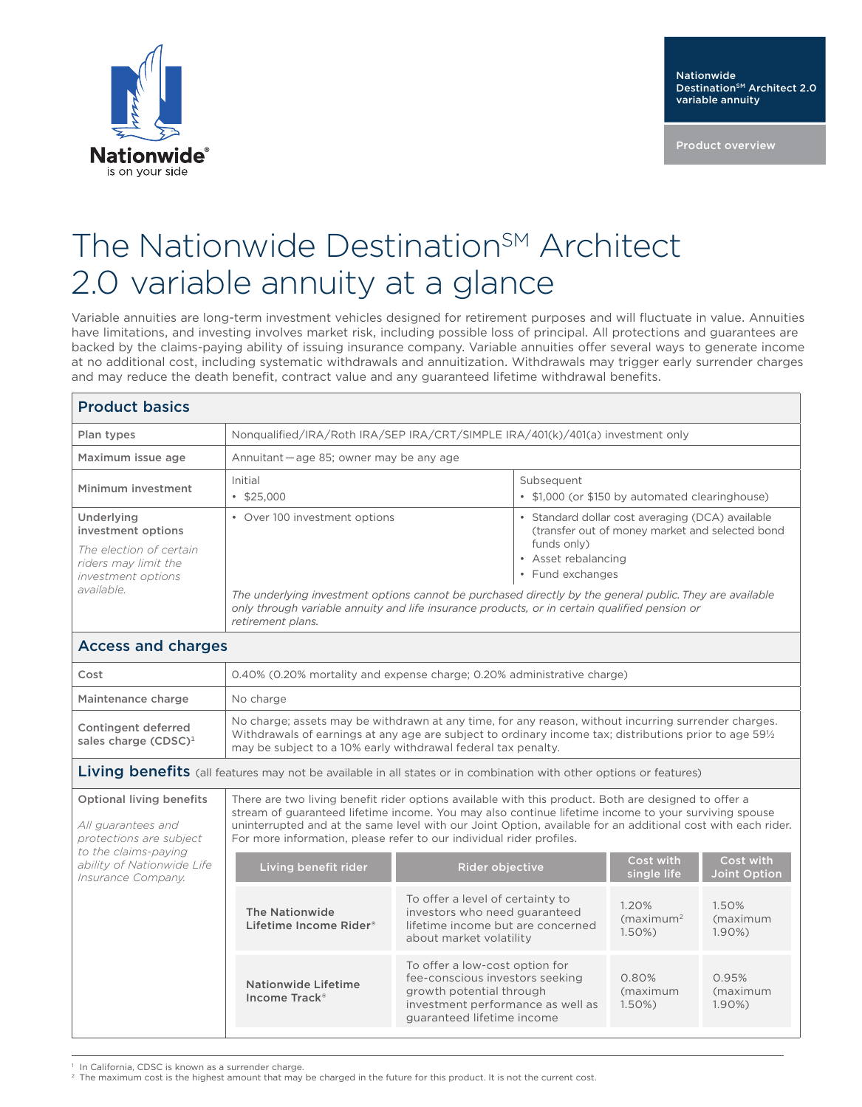

Product overview

## The Nationwide Destination<sup>SM</sup> Architect 2.0 variable annuity at a glance

Variable annuities are long-term investment vehicles designed for retirement purposes and will fluctuate in value. Annuities have limitations, and investing involves market risk, including possible loss of principal. All protections and guarantees are backed by the claims-paying ability of issuing insurance company. Variable annuities offer several ways to generate income at no additional cost, including systematic withdrawals and annuitization. Withdrawals may trigger early surrender charges and may reduce the death benefit, contract value and any guaranteed lifetime withdrawal benefits.

## Product basics

| Plan types                                                                                                              | Nonqualified/IRA/Roth IRA/SEP IRA/CRT/SIMPLE IRA/401(k)/401(a) investment only                                                                                                                                                                                                                                                                                                                                                   |                                                               |  |  |
|-------------------------------------------------------------------------------------------------------------------------|----------------------------------------------------------------------------------------------------------------------------------------------------------------------------------------------------------------------------------------------------------------------------------------------------------------------------------------------------------------------------------------------------------------------------------|---------------------------------------------------------------|--|--|
| Maximum issue age                                                                                                       | Annuitant - age 85; owner may be any age                                                                                                                                                                                                                                                                                                                                                                                         |                                                               |  |  |
| Minimum investment                                                                                                      | Initial<br>$\cdot$ \$25,000                                                                                                                                                                                                                                                                                                                                                                                                      | Subsequent<br>• \$1,000 (or \$150 by automated clearinghouse) |  |  |
| Underlying<br>investment options<br>The election of certain<br>riders may limit the<br>investment options<br>available. | • Standard dollar cost averaging (DCA) available<br>• Over 100 investment options<br>(transfer out of money market and selected bond<br>funds only)<br>• Asset rebalancing<br>• Fund exchanges<br>The underlying investment options cannot be purchased directly by the general public. They are available<br>only through variable annuity and life insurance products, or in certain qualified pension or<br>retirement plans. |                                                               |  |  |
| <b>Access and charges</b>                                                                                               |                                                                                                                                                                                                                                                                                                                                                                                                                                  |                                                               |  |  |
| Cost                                                                                                                    | 0.40% (0.20% mortality and expense charge; 0.20% administrative charge)                                                                                                                                                                                                                                                                                                                                                          |                                                               |  |  |
| Maintenance charge                                                                                                      | No charge                                                                                                                                                                                                                                                                                                                                                                                                                        |                                                               |  |  |
| Contingent deferred<br>sales charge $(CDSC)^1$                                                                          | No charge; assets may be withdrawn at any time, for any reason, without incurring surrender charges.<br>Withdrawals of earnings at any age are subject to ordinary income tax; distributions prior to age 591/2<br>may be subject to a 10% early withdrawal federal tax penalty.                                                                                                                                                 |                                                               |  |  |
| Living benefits (all features may not be available in all states or in combination with other options or features)      |                                                                                                                                                                                                                                                                                                                                                                                                                                  |                                                               |  |  |

Optional living benefits *All guarantees and protections are subject*  There are two living benefit rider options available with this product. Both are designed to offer a stream of guaranteed lifetime income. You may also continue lifetime income to your surviving spouse uninterrupted and at the same level with our Joint Option, available for an additional cost with each rider. For more information, please refer to our individual rider profiles.

| to the claims-paying<br>ability of Nationwide Life<br>Insurance Company. | Living benefit rider                             | Rider objective                                                                                                                                                  | Cost with<br>single life                      | Cost with<br>Joint Option     |
|--------------------------------------------------------------------------|--------------------------------------------------|------------------------------------------------------------------------------------------------------------------------------------------------------------------|-----------------------------------------------|-------------------------------|
|                                                                          | The Nationwide<br>Lifetime Income Rider®         | To offer a level of certainty to<br>investors who need guaranteed<br>lifetime income but are concerned<br>about market volatility                                | 1.20%<br>(maximum <sup>2</sup> )<br>$1.50\%)$ | 1.50%<br>(maximum<br>$1.90\%$ |
|                                                                          | Nationwide Lifetime<br>Income Track <sup>®</sup> | To offer a low-cost option for<br>fee-conscious investors seeking<br>growth potential through<br>investment performance as well as<br>guaranteed lifetime income | 0.80%<br>(maximum<br>$1.50\%)$                | 0.95%<br>(maximum<br>$1.90\%$ |

In California, CDSC is known as a surrender charge.

<sup>2</sup> The maximum cost is the highest amount that may be charged in the future for this product. It is not the current cost.